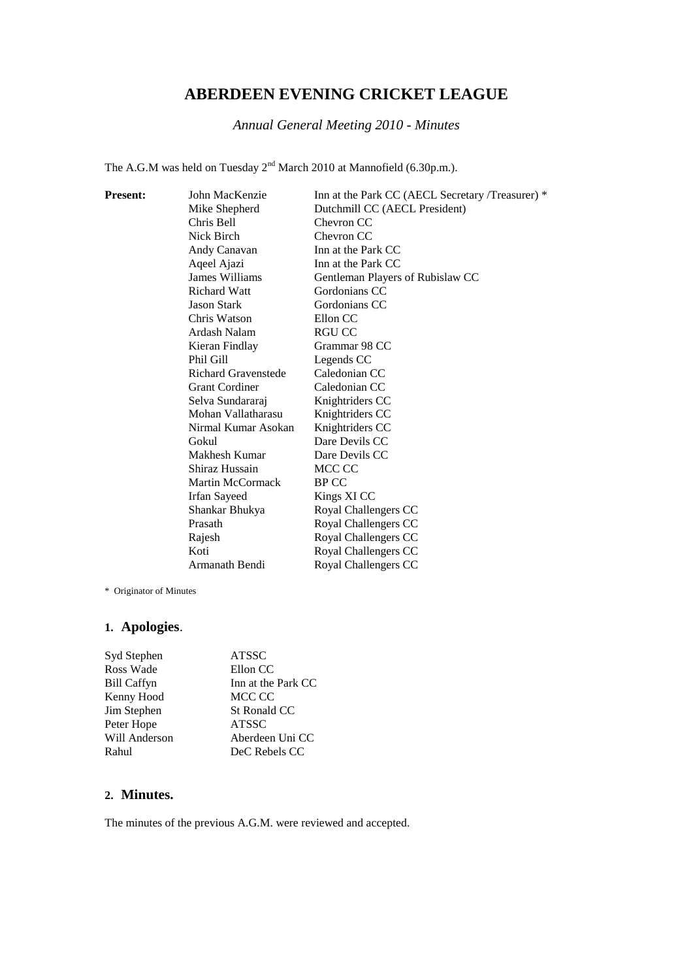# **ABERDEEN EVENING CRICKET LEAGUE**

*Annual General Meeting 2010 - Minutes*

The A.G.M was held on Tuesday  $2^{nd}$  March 2010 at Mannofield (6.30p.m.).

| <b>Present:</b> | John MacKenzie             | Inn at the Park CC (AECL Secretary /Treasurer) * |
|-----------------|----------------------------|--------------------------------------------------|
|                 | Mike Shepherd              | Dutchmill CC (AECL President)                    |
|                 | Chris Bell                 | Chevron CC                                       |
|                 | Nick Birch                 | Chevron CC                                       |
|                 | Andy Canavan               | Inn at the Park CC                               |
|                 | Aqeel Ajazi                | Inn at the Park CC                               |
|                 | James Williams             | Gentleman Players of Rubislaw CC                 |
|                 | <b>Richard Watt</b>        | Gordonians CC                                    |
|                 | Jason Stark                | Gordonians CC                                    |
|                 | Chris Watson               | Ellon CC                                         |
|                 | Ardash Nalam               | RGU CC                                           |
|                 | Kieran Findlay             | Grammar 98 CC                                    |
|                 | Phil Gill                  | Legends CC                                       |
|                 | <b>Richard Gravenstede</b> | Caledonian CC                                    |
|                 | <b>Grant Cordiner</b>      | Caledonian CC                                    |
|                 | Selva Sundararaj           | Knightriders CC                                  |
|                 | Mohan Vallatharasu         | Knightriders CC                                  |
|                 | Nirmal Kumar Asokan        | Knightriders CC                                  |
|                 | Gokul                      | Dare Devils CC                                   |
|                 | Makhesh Kumar              | Dare Devils CC                                   |
|                 | Shiraz Hussain             | MCC CC                                           |
|                 | Martin McCormack           | <b>BPCC</b>                                      |
|                 | <b>Irfan Sayeed</b>        | Kings XI CC                                      |
|                 | Shankar Bhukya             | Royal Challengers CC                             |
|                 | Prasath                    | Royal Challengers CC                             |
|                 | Rajesh                     | Royal Challengers CC                             |
|                 | Koti                       | Royal Challengers CC                             |
|                 | Armanath Bendi             | Royal Challengers CC                             |
|                 |                            |                                                  |

\* Originator of Minutes

## **1. Apologies**.

| Syd Stephen        | <b>ATSSC</b>       |
|--------------------|--------------------|
| Ross Wade          | Ellon CC           |
| <b>Bill Caffyn</b> | Inn at the Park CC |
| Kenny Hood         | MCC CC             |
| Jim Stephen        | St Ronald CC       |
| Peter Hope         | <b>ATSSC</b>       |
| Will Anderson      | Aberdeen Uni CC    |
| Rahul              | DeC Rebels CC      |

## **2. Minutes.**

The minutes of the previous A.G.M. were reviewed and accepted.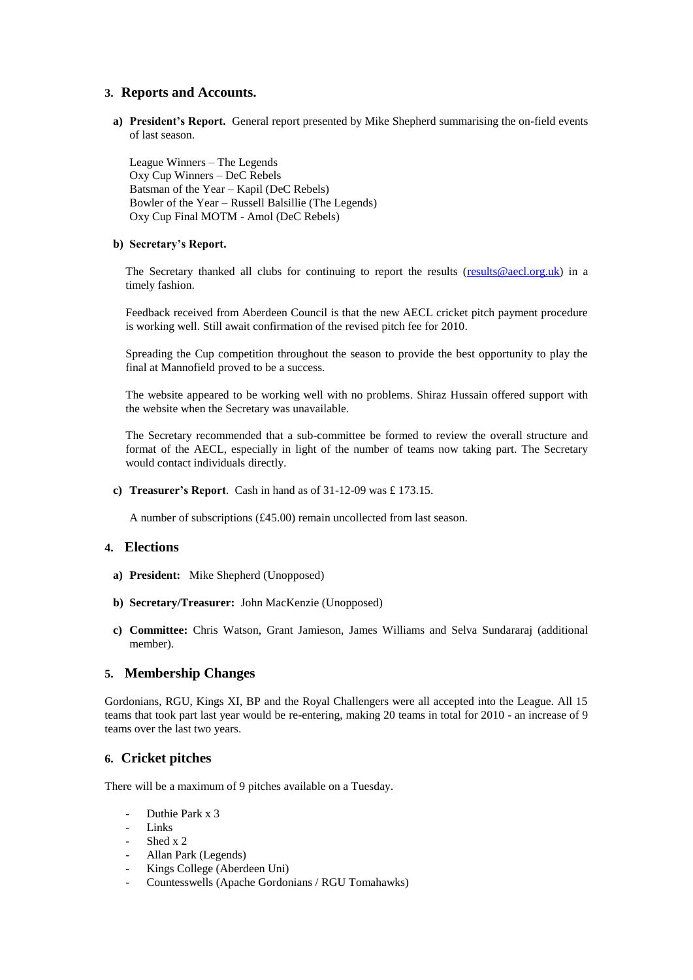#### **3. Reports and Accounts.**

**a) President's Report.** General report presented by Mike Shepherd summarising the on-field events of last season.

League Winners – The Legends Oxy Cup Winners – DeC Rebels Batsman of the Year – Kapil (DeC Rebels) Bowler of the Year – Russell Balsillie (The Legends) Oxy Cup Final MOTM - Amol (DeC Rebels)

#### **b) Secretary's Report.**

The Secretary thanked all clubs for continuing to report the results (results @aecl.org.uk) in a timely fashion.

Feedback received from Aberdeen Council is that the new AECL cricket pitch payment procedure is working well. Still await confirmation of the revised pitch fee for 2010.

Spreading the Cup competition throughout the season to provide the best opportunity to play the final at Mannofield proved to be a success.

The website appeared to be working well with no problems. Shiraz Hussain offered support with the website when the Secretary was unavailable.

The Secretary recommended that a sub-committee be formed to review the overall structure and format of the AECL, especially in light of the number of teams now taking part. The Secretary would contact individuals directly.

**c) Treasurer's Report**. Cash in hand as of 31-12-09 was £ 173.15.

A number of subscriptions (£45.00) remain uncollected from last season.

#### **4. Elections**

- **a) President:** Mike Shepherd (Unopposed)
- **b) Secretary/Treasurer:** John MacKenzie (Unopposed)
- **c) Committee:** Chris Watson, Grant Jamieson, James Williams and Selva Sundararaj (additional member).

#### **5. Membership Changes**

Gordonians, RGU, Kings XI, BP and the Royal Challengers were all accepted into the League. All 15 teams that took part last year would be re-entering, making 20 teams in total for 2010 - an increase of 9 teams over the last two years.

## **6. Cricket pitches**

There will be a maximum of 9 pitches available on a Tuesday.

- Duthie Park x 3
- Links
- Shed x 2
- Allan Park (Legends)
- Kings College (Aberdeen Uni)
- Countesswells (Apache Gordonians / RGU Tomahawks)